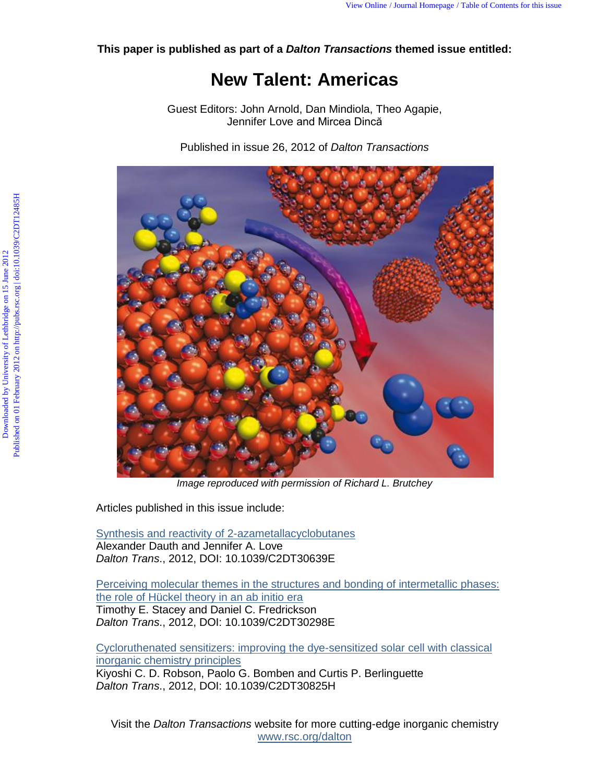**This paper is published as part of a** *Dalton Transactions* **themed issue entitled:** 

## **New Talent: Americas**

Guest Editors: John Arnold, Dan Mindiola, Theo Agapie, Jennifer Love and Mircea Dincă

Published in issue 26, 2012 of *Dalton Transactions*



*Image reproduced with permission of Richard L. Brutchey* 

Articles published in this issue include:

Synthesis and reactivity of 2-azametallacyclobutanes Alexander Dauth and Jennifer A. Love *Dalton Trans*., 2012, DOI: 10.1039/C2DT30639E

Perceiving molecular themes in the structures and bonding of intermetallic phases: the role of Hückel theory in an ab initio era Timothy E. Stacey and Daniel C. Fredrickson *Dalton Trans*., 2012, DOI: 10.1039/C2DT30298E

Cycloruthenated sensitizers: improving the dye-sensitized solar cell with classical inorganic chemistry principles Kiyoshi C. D. Robson, Paolo G. Bomben and Curtis P. Berlinguette *Dalton Trans*., 2012, DOI: 10.1039/C2DT30825H

Visit the *Dalton Transactions* website for more cutting-edge inorganic chemistry www.rsc.org/dalton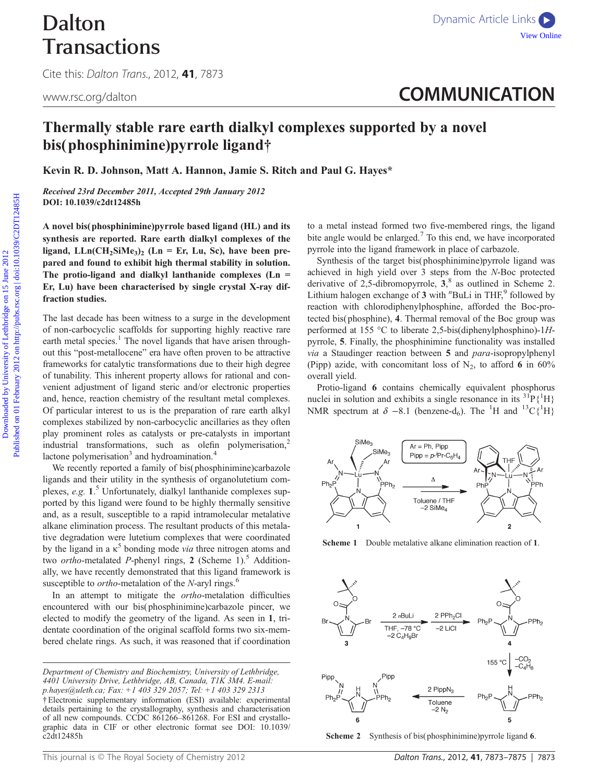# Dalton **Transactions**

Cite this: Dalton Trans., 2012, 41, 7873

# <www.rsc.org/dalton> **COMMUNICATION**

### Thermally stable rare earth dialkyl complexes supported by a novel bis(phosphinimine)pyrrole ligand†

Kevin R. D. Johnson, Matt A. Hannon, Jamie S. Ritch and Paul G. Hayes\*

Received 23rd December 2011, Accepted 29th January 2012 DOI: 10.1039/c2dt12485h

A novel bis(phosphinimine)pyrrole based ligand (HL) and its synthesis are reported. Rare earth dialkyl complexes of the ligand,  $LLn(CH_2SiMe_3)$ <sub>2</sub> (Ln = Er, Lu, Sc), have been prepared and found to exhibit high thermal stability in solution. The protio-ligand and dialkyl lanthanide complexes (Ln = Er, Lu) have been characterised by single crystal X-ray diffraction studies.

The last decade has been witness to a surge in the development of non-carbocyclic scaffolds for supporting highly reactive rare earth metal species.<sup>1</sup> The novel ligands that have arisen throughout this "post-metallocene" era have often proven to be attractive frameworks for catalytic transformations due to their high degree of tunability. This inherent property allows for rational and convenient adjustment of ligand steric and/or electronic properties and, hence, reaction chemistry of the resultant metal complexes. Of particular interest to us is the preparation of rare earth alkyl complexes stabilized by non-carbocyclic ancillaries as they often play prominent roles as catalysts or pre-catalysts in important industrial transformations, such as olefin polymerisation, $2$ lactone polymerisation<sup>3</sup> and hydroamination.<sup>4</sup> Transactions www.exong/daton was a comparison of Lethbridge on 15 June 2012 Published on 15 June 2012 Published on 15 June 2012 Published on 15 June 2012 Published on 15 June 2012 Published on 2012 Published on 15 June 20

We recently reported a family of bis( phosphinimine)carbazole ligands and their utility in the synthesis of organolutetium complexes, e.g. 1.<sup>5</sup> Unfortunately, dialkyl lanthanide complexes supported by this ligand were found to be highly thermally sensitive and, as a result, susceptible to a rapid intramolecular metalative alkane elimination process. The resultant products of this metalative degradation were lutetium complexes that were coordinated by the ligand in a  $\kappa^5$  bonding mode *via* three nitrogen atoms and two *ortho*-metalated *P*-phenyl rings, 2 (Scheme 1).<sup>5</sup> Additionally, we have recently demonstrated that this ligand framework is susceptible to  $ortho$ -metalation of the N-aryl rings.<sup>6</sup>

In an attempt to mitigate the ortho-metalation difficulties encountered with our bis( phosphinimine)carbazole pincer, we elected to modify the geometry of the ligand. As seen in 1, tridentate coordination of the original scaffold forms two six-membered chelate rings. As such, it was reasoned that if coordination to a metal instead formed two five-membered rings, the ligand bite angle would be enlarged.<sup>7</sup> To this end, we have incorporated pyrrole into the ligand framework in place of carbazole.

Synthesis of the target bis( phosphinimine) pyrrole ligand was achieved in high yield over 3 steps from the N-Boc protected derivative of 2,5-dibromopyrrole, 3, <sup>8</sup> as outlined in Scheme 2. Lithium halogen exchange of 3 with "BuLi in THF," followed by reaction with chlorodiphenylphosphine, afforded the Boc-protected bis( phosphine), 4. Thermal removal of the Boc group was performed at 155 °C to liberate 2,5-bis(diphenylphosphino)-1Hpyrrole, 5. Finally, the phosphinimine functionality was installed via a Staudinger reaction between 5 and para-isopropylphenyl (Pipp) azide, with concomitant loss of  $N_2$ , to afford 6 in 60% overall yield.

Protio-ligand 6 contains chemically equivalent phosphorus nuclei in solution and exhibits a single resonance in its  ${}^{31}P\{{}^{1}H\}$ NMR spectrum at  $\delta$  -8.1 (benzene-d<sub>6</sub>). The <sup>1</sup>H and <sup>13</sup>C{<sup>1</sup>H}



Scheme 1 Double metalative alkane elimination reaction of 1.



Scheme 2 Synthesis of bis(phosphinimine)pyrrole ligand 6.

Department of Chemistry and Biochemistry, University of Lethbridge, 4401 University Drive, Lethbridge, AB, Canada, T1K 3M4. E-mail: p.hayes@uleth.ca; Fax: +1 403 329 2057; Tel: +1 403 329 2313

<sup>†</sup>Electronic supplementary information (ESI) available: experimental details pertaining to the crystallography, synthesis and characterisation of all new compounds. CCDC 861266–861268. For ESI and crystallographic data in CIF or other electronic format see DOI: 10.1039/ c2dt12485h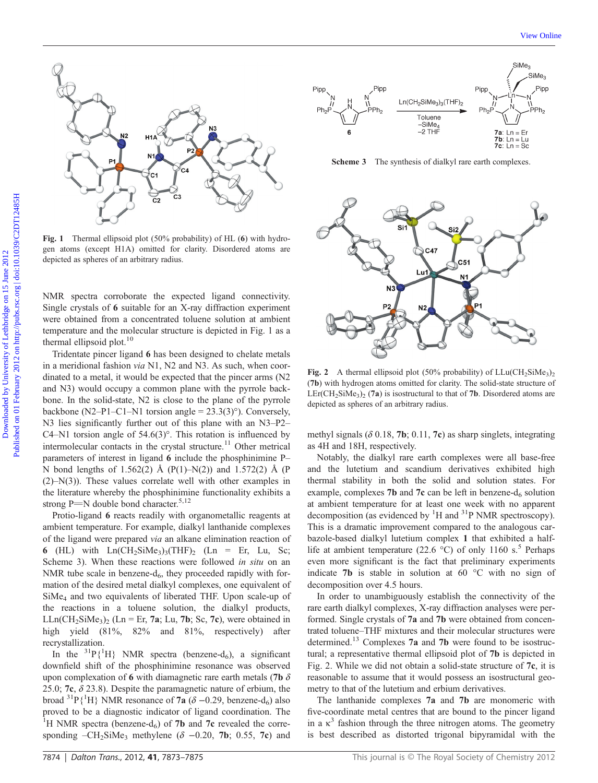

Fig. 1 Thermal ellipsoid plot (50% probability) of HL (6) with hydrogen atoms (except H1A) omitted for clarity. Disordered atoms are depicted as spheres of an arbitrary radius.

NMR spectra corroborate the expected ligand connectivity. Single crystals of 6 suitable for an X-ray diffraction experiment were obtained from a concentrated toluene solution at ambient temperature and the molecular structure is depicted in Fig. 1 as a thermal ellipsoid plot.<sup>10</sup>

Tridentate pincer ligand 6 has been designed to chelate metals in a meridional fashion *via* N1, N2 and N3. As such, when coordinated to a metal, it would be expected that the pincer arms (N2 and N3) would occupy a common plane with the pyrrole backbone. In the solid-state, N2 is close to the plane of the pyrrole backbone (N2–P1–C1–N1 torsion angle =  $23.3(3)^\circ$ ). Conversely, N3 lies significantly further out of this plane with an N3–P2– C4–N1 torsion angle of 54.6(3)°. This rotation is influenced by intermolecular contacts in the crystal structure.<sup>11</sup> Other metrical parameters of interest in ligand 6 include the phosphinimine P– N bond lengths of 1.562(2) Å (P(1)–N(2)) and 1.572(2) Å (P (2)–N(3)). These values correlate well with other examples in the literature whereby the phosphinimine functionality exhibits a strong P $=$ N double bond character.<sup>5,12</sup>

Protio-ligand 6 reacts readily with organometallic reagents at ambient temperature. For example, dialkyl lanthanide complexes of the ligand were prepared via an alkane elimination reaction of 6 (HL) with  $Ln(CH_2SiMe_3)_3(THF)$  (Ln = Er, Lu, Sc; Scheme 3). When these reactions were followed in situ on an NMR tube scale in benzene- $d_6$ , they proceeded rapidly with formation of the desired metal dialkyl complexes, one equivalent of SiMe4 and two equivalents of liberated THF. Upon scale-up of the reactions in a toluene solution, the dialkyl products,  $LLn(CH_2SiMe_3)$ <sub>2</sub> (Ln = Er, 7a; Lu, 7b; Sc, 7c), were obtained in high yield (81%, 82% and 81%, respectively) after recrystallization.

In the <sup>31</sup> $P{\text{H}}$  NMR spectra (benzene-d<sub>6</sub>), a significant downfield shift of the phosphinimine resonance was observed upon complexation of 6 with diamagnetic rare earth metals (7b  $\delta$ 25.0; **7c**,  $\delta$  23.8). Despite the paramagnetic nature of erbium, the broad <sup>31</sup>P{<sup>1</sup>H} NMR resonance of **7a** ( $\delta$  –0.29, benzene-d<sub>6</sub>) also proved to be a diagnostic indicator of ligand coordination. The <sup>1</sup>H NMR spectra (benzene-d<sub>6</sub>) of **7b** and **7c** revealed the corresponding  $-CH_2SiMe_3$  methylene ( $\delta$  -0.20, 7b; 0.55, 7c) and



Scheme 3 The synthesis of dialkyl rare earth complexes.



Fig. 2 A thermal ellipsoid plot (50% probability) of  $LLu(CH_2SiMe_3)$ (7b) with hydrogen atoms omitted for clarity. The solid-state structure of  $LET(CH_2SiMe_3)_2$  (7a) is isostructural to that of 7b. Disordered atoms are depicted as spheres of an arbitrary radius.

methyl signals ( $\delta$  0.18, **7b**; 0.11, **7c**) as sharp singlets, integrating as 4H and 18H, respectively.

Notably, the dialkyl rare earth complexes were all base-free and the lutetium and scandium derivatives exhibited high thermal stability in both the solid and solution states. For example, complexes 7b and 7c can be left in benzene- $d_6$  solution at ambient temperature for at least one week with no apparent decomposition (as evidenced by  ${}^{1}H$  and  ${}^{31}P$  NMR spectroscopy). This is a dramatic improvement compared to the analogous carbazole-based dialkyl lutetium complex 1 that exhibited a halflife at ambient temperature (22.6  $^{\circ}$ C) of only 1160 s.<sup>5</sup> Perhaps even more significant is the fact that preliminary experiments indicate 7b is stable in solution at 60 °C with no sign of decomposition over 4.5 hours.

In order to unambiguously establish the connectivity of the rare earth dialkyl complexes, X-ray diffraction analyses were performed. Single crystals of 7a and 7b were obtained from concentrated toluene–THF mixtures and their molecular structures were determined.13 Complexes 7a and 7b were found to be isostructural; a representative thermal ellipsoid plot of 7b is depicted in Fig. 2. While we did not obtain a solid-state structure of 7c, it is reasonable to assume that it would possess an isostructural geometry to that of the lutetium and erbium derivatives.

The lanthanide complexes 7a and 7b are monomeric with five-coordinate metal centres that are bound to the pincer ligand in a  $\kappa^3$  fashion through the three nitrogen atoms. The geometry is best described as distorted trigonal bipyramidal with the